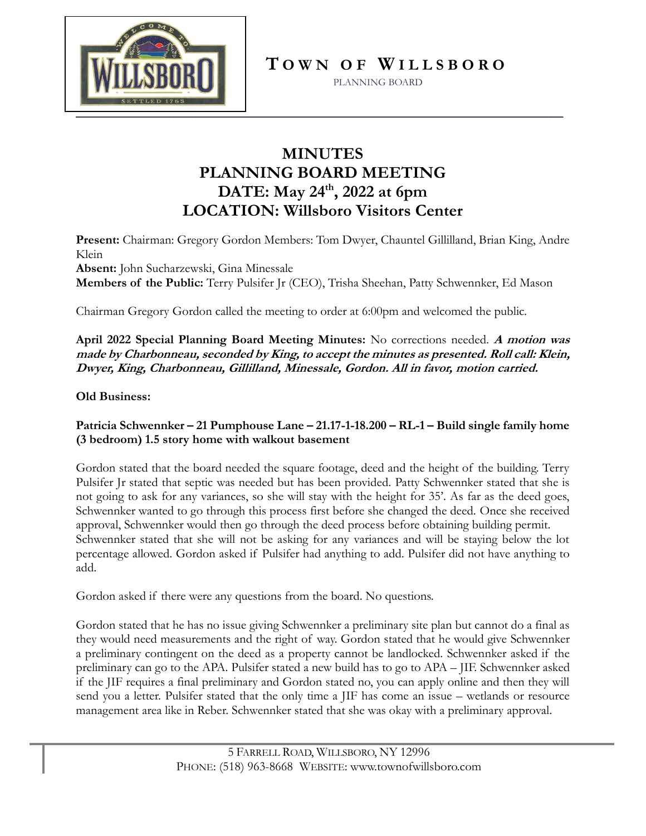

**T O W N O F W I L L S B O R O**

PLANNING BOARD

### **MINUTES PLANNING BOARD MEETING DATE: May 24th, 2022 at 6pm LOCATION: Willsboro Visitors Center**

**Present:** Chairman: Gregory Gordon Members: Tom Dwyer, Chauntel Gillilland, Brian King, Andre Klein

**Absent:** John Sucharzewski, Gina Minessale

**Members of the Public:** Terry Pulsifer Jr (CEO), Trisha Sheehan, Patty Schwennker, Ed Mason

Chairman Gregory Gordon called the meeting to order at 6:00pm and welcomed the public.

**April 2022 Special Planning Board Meeting Minutes:** No corrections needed. **A motion was made by Charbonneau, seconded by King, to accept the minutes as presented. Roll call: Klein, Dwyer, King, Charbonneau, Gillilland, Minessale, Gordon. All in favor, motion carried.**

**Old Business:** 

### **Patricia Schwennker – 21 Pumphouse Lane – 21.17-1-18.200 – RL-1 – Build single family home (3 bedroom) 1.5 story home with walkout basement**

Gordon stated that the board needed the square footage, deed and the height of the building. Terry Pulsifer Jr stated that septic was needed but has been provided. Patty Schwennker stated that she is not going to ask for any variances, so she will stay with the height for 35'. As far as the deed goes, Schwennker wanted to go through this process first before she changed the deed. Once she received approval, Schwennker would then go through the deed process before obtaining building permit. Schwennker stated that she will not be asking for any variances and will be staying below the lot percentage allowed. Gordon asked if Pulsifer had anything to add. Pulsifer did not have anything to add.

Gordon asked if there were any questions from the board. No questions.

Gordon stated that he has no issue giving Schwennker a preliminary site plan but cannot do a final as they would need measurements and the right of way. Gordon stated that he would give Schwennker a preliminary contingent on the deed as a property cannot be landlocked. Schwennker asked if the preliminary can go to the APA. Pulsifer stated a new build has to go to APA – JIF. Schwennker asked if the JIF requires a final preliminary and Gordon stated no, you can apply online and then they will send you a letter. Pulsifer stated that the only time a JIF has come an issue – wetlands or resource management area like in Reber. Schwennker stated that she was okay with a preliminary approval.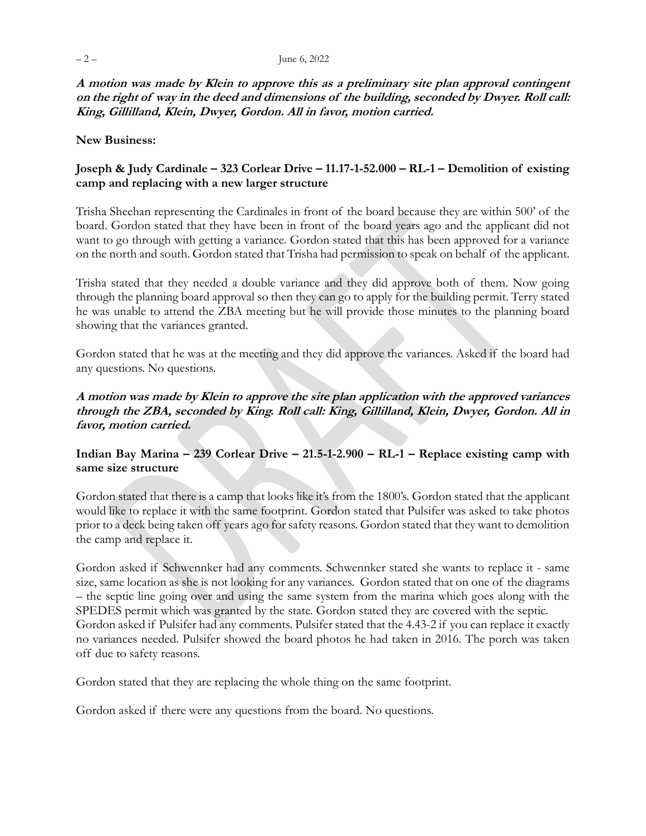**A motion was made by Klein to approve this as a preliminary site plan approval contingent on the right of way in the deed and dimensions of the building, seconded by Dwyer. Roll call: King, Gillilland, Klein, Dwyer, Gordon. All in favor, motion carried.** 

#### **New Business:**

#### **Joseph & Judy Cardinale – 323 Corlear Drive – 11.17-1-52.000 – RL-1 – Demolition of existing camp and replacing with a new larger structure**

Trisha Sheehan representing the Cardinales in front of the board because they are within 500' of the board. Gordon stated that they have been in front of the board years ago and the applicant did not want to go through with getting a variance. Gordon stated that this has been approved for a variance on the north and south. Gordon stated that Trisha had permission to speak on behalf of the applicant.

Trisha stated that they needed a double variance and they did approve both of them. Now going through the planning board approval so then they can go to apply for the building permit. Terry stated he was unable to attend the ZBA meeting but he will provide those minutes to the planning board showing that the variances granted.

Gordon stated that he was at the meeting and they did approve the variances. Asked if the board had any questions. No questions.

#### **A motion was made by Klein to approve the site plan application with the approved variances through the ZBA, seconded by King. Roll call: King, Gillilland, Klein, Dwyer, Gordon. All in favor, motion carried.**

#### **Indian Bay Marina – 239 Corlear Drive – 21.5-1-2.900 – RL-1 – Replace existing camp with same size structure**

Gordon stated that there is a camp that looks like it's from the 1800's. Gordon stated that the applicant would like to replace it with the same footprint. Gordon stated that Pulsifer was asked to take photos prior to a deck being taken off years ago for safety reasons. Gordon stated that they want to demolition the camp and replace it.

Gordon asked if Schwennker had any comments. Schwennker stated she wants to replace it - same size, same location as she is not looking for any variances. Gordon stated that on one of the diagrams – the septic line going over and using the same system from the marina which goes along with the SPEDES permit which was granted by the state. Gordon stated they are covered with the septic. Gordon asked if Pulsifer had any comments. Pulsifer stated that the 4.43-2 if you can replace it exactly no variances needed. Pulsifer showed the board photos he had taken in 2016. The porch was taken off due to safety reasons.

Gordon stated that they are replacing the whole thing on the same footprint.

Gordon asked if there were any questions from the board. No questions.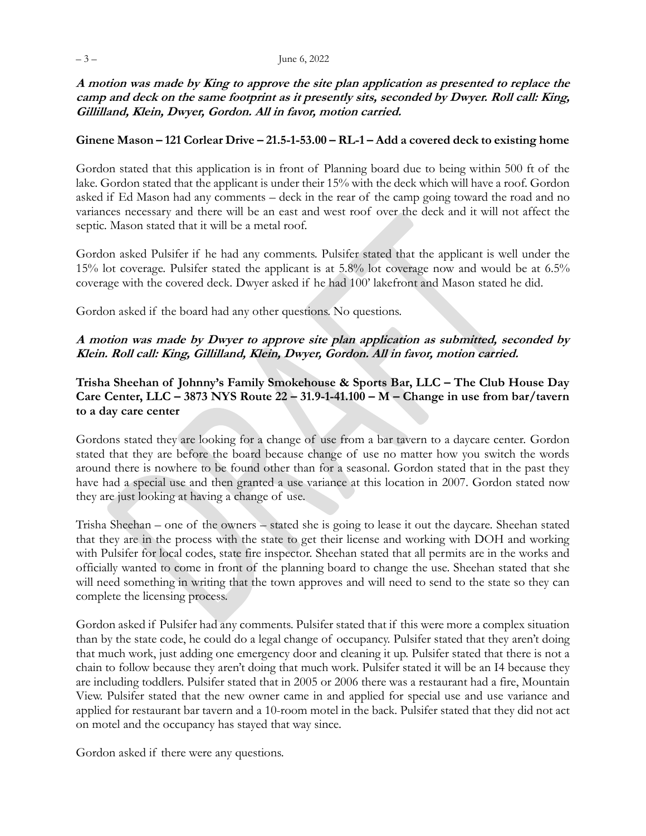**A motion was made by King to approve the site plan application as presented to replace the camp and deck on the same footprint as it presently sits, seconded by Dwyer. Roll call: King, Gillilland, Klein, Dwyer, Gordon. All in favor, motion carried.** 

#### **Ginene Mason – 121 Corlear Drive – 21.5-1-53.00 – RL-1 – Add a covered deck to existing home**

Gordon stated that this application is in front of Planning board due to being within 500 ft of the lake. Gordon stated that the applicant is under their 15% with the deck which will have a roof. Gordon asked if Ed Mason had any comments – deck in the rear of the camp going toward the road and no variances necessary and there will be an east and west roof over the deck and it will not affect the septic. Mason stated that it will be a metal roof.

Gordon asked Pulsifer if he had any comments. Pulsifer stated that the applicant is well under the 15% lot coverage. Pulsifer stated the applicant is at 5.8% lot coverage now and would be at 6.5% coverage with the covered deck. Dwyer asked if he had 100' lakefront and Mason stated he did.

Gordon asked if the board had any other questions. No questions.

#### **A motion was made by Dwyer to approve site plan application as submitted, seconded by Klein. Roll call: King, Gillilland, Klein, Dwyer, Gordon. All in favor, motion carried.**

**Trisha Sheehan of Johnny's Family Smokehouse & Sports Bar, LLC – The Club House Day Care Center, LLC – 3873 NYS Route 22 – 31.9-1-41.100 – M – Change in use from bar/tavern to a day care center**

Gordons stated they are looking for a change of use from a bar tavern to a daycare center. Gordon stated that they are before the board because change of use no matter how you switch the words around there is nowhere to be found other than for a seasonal. Gordon stated that in the past they have had a special use and then granted a use variance at this location in 2007. Gordon stated now they are just looking at having a change of use.

Trisha Sheehan – one of the owners – stated she is going to lease it out the daycare. Sheehan stated that they are in the process with the state to get their license and working with DOH and working with Pulsifer for local codes, state fire inspector. Sheehan stated that all permits are in the works and officially wanted to come in front of the planning board to change the use. Sheehan stated that she will need something in writing that the town approves and will need to send to the state so they can complete the licensing process.

Gordon asked if Pulsifer had any comments. Pulsifer stated that if this were more a complex situation than by the state code, he could do a legal change of occupancy. Pulsifer stated that they aren't doing that much work, just adding one emergency door and cleaning it up. Pulsifer stated that there is not a chain to follow because they aren't doing that much work. Pulsifer stated it will be an I4 because they are including toddlers. Pulsifer stated that in 2005 or 2006 there was a restaurant had a fire, Mountain View. Pulsifer stated that the new owner came in and applied for special use and use variance and applied for restaurant bar tavern and a 10-room motel in the back. Pulsifer stated that they did not act on motel and the occupancy has stayed that way since.

Gordon asked if there were any questions.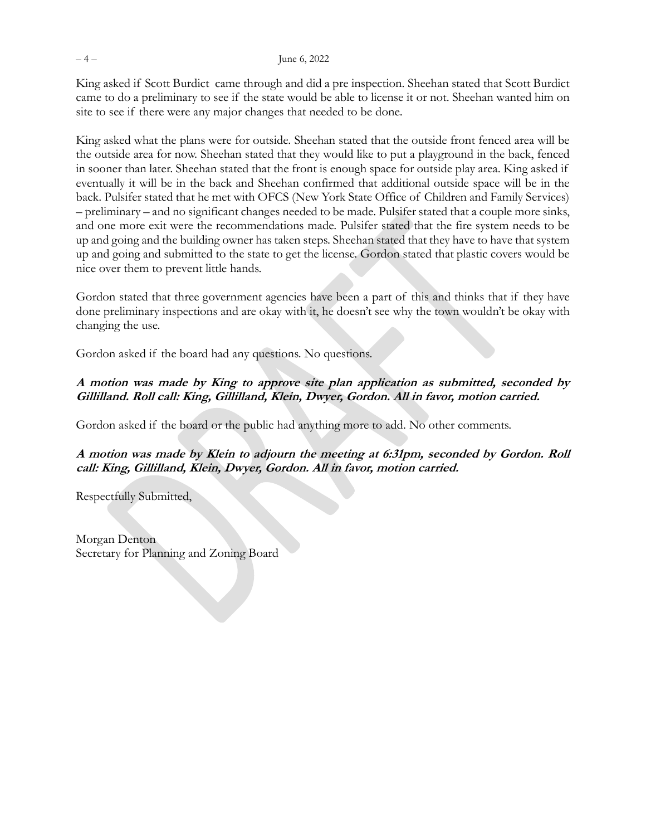King asked if Scott Burdict came through and did a pre inspection. Sheehan stated that Scott Burdict came to do a preliminary to see if the state would be able to license it or not. Sheehan wanted him on site to see if there were any major changes that needed to be done.

King asked what the plans were for outside. Sheehan stated that the outside front fenced area will be the outside area for now. Sheehan stated that they would like to put a playground in the back, fenced in sooner than later. Sheehan stated that the front is enough space for outside play area. King asked if eventually it will be in the back and Sheehan confirmed that additional outside space will be in the back. Pulsifer stated that he met with OFCS (New York State Office of Children and Family Services) – preliminary – and no significant changes needed to be made. Pulsifer stated that a couple more sinks, and one more exit were the recommendations made. Pulsifer stated that the fire system needs to be up and going and the building owner has taken steps. Sheehan stated that they have to have that system up and going and submitted to the state to get the license. Gordon stated that plastic covers would be nice over them to prevent little hands.

Gordon stated that three government agencies have been a part of this and thinks that if they have done preliminary inspections and are okay with it, he doesn't see why the town wouldn't be okay with changing the use.

Gordon asked if the board had any questions. No questions.

### **A motion was made by King to approve site plan application as submitted, seconded by Gillilland. Roll call: King, Gillilland, Klein, Dwyer, Gordon. All in favor, motion carried.**

Gordon asked if the board or the public had anything more to add. No other comments.

### **A motion was made by Klein to adjourn the meeting at 6:31pm, seconded by Gordon. Roll call: King, Gillilland, Klein, Dwyer, Gordon. All in favor, motion carried.**

Respectfully Submitted,

Morgan Denton Secretary for Planning and Zoning Board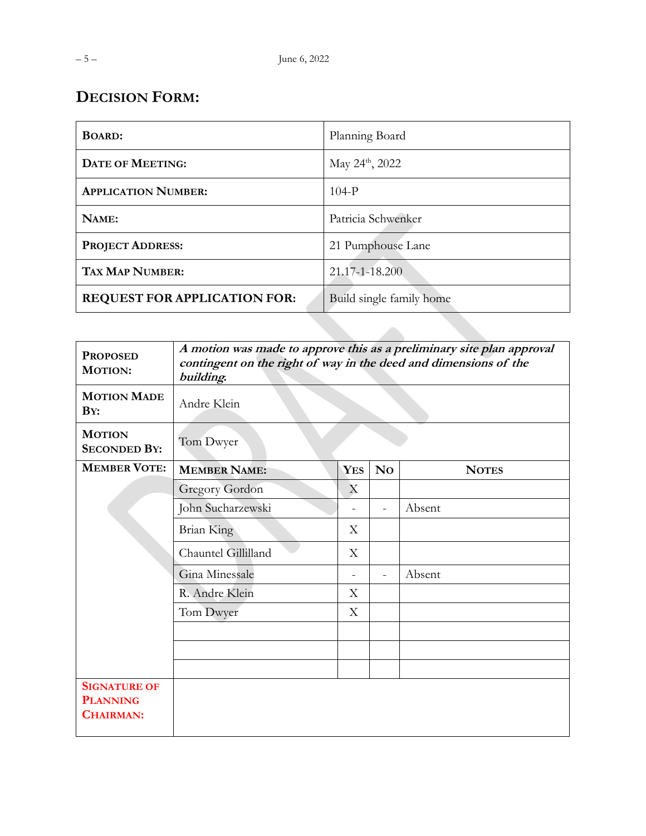| <b>BOARD:</b>                       | Planning Board              |
|-------------------------------------|-----------------------------|
| <b>DATE OF MEETING:</b>             | May $24^{\text{th}}$ , 2022 |
| <b>APPLICATION NUMBER:</b>          | $104-P$                     |
| NAME:                               | Patricia Schwenker          |
| <b>PROJECT ADDRESS:</b>             | 21 Pumphouse Lane           |
| <b>TAX MAP NUMBER:</b>              | 21.17-1-18.200              |
| <b>REQUEST FOR APPLICATION FOR:</b> | Build single family home    |

| <b>PROPOSED</b><br><b>MOTION:</b>                          | A motion was made to approve this as a preliminary site plan approval<br>contingent on the right of way in the deed and dimensions of the<br>building. |            |                          |              |
|------------------------------------------------------------|--------------------------------------------------------------------------------------------------------------------------------------------------------|------------|--------------------------|--------------|
| <b>MOTION MADE</b><br>BY:                                  | Andre Klein                                                                                                                                            |            |                          |              |
| <b>MOTION</b><br><b>SECONDED BY:</b>                       | Tom Dwyer                                                                                                                                              |            |                          |              |
| <b>MEMBER VOTE:</b>                                        | <b>MEMBER NAME:</b>                                                                                                                                    | <b>YES</b> | N <sub>0</sub>           | <b>NOTES</b> |
|                                                            | Gregory Gordon                                                                                                                                         | X          |                          |              |
|                                                            | John Sucharzewski                                                                                                                                      |            | $\overline{\phantom{0}}$ | Absent       |
|                                                            | <b>Brian King</b>                                                                                                                                      | X          |                          |              |
|                                                            | Chauntel Gillilland                                                                                                                                    | X          |                          |              |
|                                                            | Gina Minessale                                                                                                                                         |            | $\overline{a}$           | Absent       |
|                                                            | R. Andre Klein                                                                                                                                         | X          |                          |              |
|                                                            | Tom Dwyer                                                                                                                                              | X          |                          |              |
|                                                            |                                                                                                                                                        |            |                          |              |
|                                                            |                                                                                                                                                        |            |                          |              |
|                                                            |                                                                                                                                                        |            |                          |              |
| <b>SIGNATURE OF</b><br><b>PLANNING</b><br><b>CHAIRMAN:</b> |                                                                                                                                                        |            |                          |              |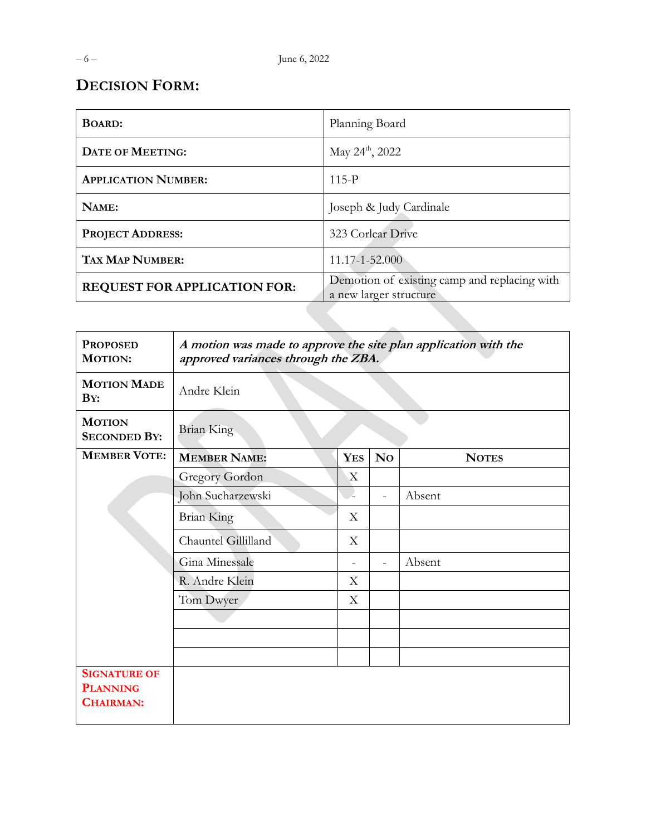| <b>BOARD:</b>                       | Planning Board                                                         |
|-------------------------------------|------------------------------------------------------------------------|
| <b>DATE OF MEETING:</b>             | May 24 <sup>th</sup> , 2022                                            |
| <b>APPLICATION NUMBER:</b>          | $115-P$                                                                |
| NAME:                               | Joseph & Judy Cardinale                                                |
| <b>PROJECT ADDRESS:</b>             | 323 Corlear Drive                                                      |
| <b>TAX MAP NUMBER:</b>              | 11.17-1-52.000                                                         |
| <b>REQUEST FOR APPLICATION FOR:</b> | Demotion of existing camp and replacing with<br>a new larger structure |
|                                     |                                                                        |

| <b>PROPOSED</b><br><b>MOTION:</b>                          | A motion was made to approve the site plan application with the<br>approved variances through the ZBA. |              |                          |              |  |
|------------------------------------------------------------|--------------------------------------------------------------------------------------------------------|--------------|--------------------------|--------------|--|
| <b>MOTION MADE</b><br>BY:                                  | Andre Klein                                                                                            |              |                          |              |  |
| <b>MOTION</b><br><b>SECONDED BY:</b>                       | <b>Brian King</b>                                                                                      |              |                          |              |  |
| <b>MEMBER VOTE:</b>                                        | <b>MEMBER NAME:</b>                                                                                    | <b>YES</b>   | N <sub>0</sub>           | <b>NOTES</b> |  |
|                                                            | <b>Gregory Gordon</b>                                                                                  | $\mathbf{X}$ |                          |              |  |
|                                                            | John Sucharzewski                                                                                      |              | $\overline{\phantom{a}}$ | Absent       |  |
|                                                            | <b>Brian King</b>                                                                                      | X            |                          |              |  |
|                                                            | Chauntel Gillilland                                                                                    | X            |                          |              |  |
|                                                            | Gina Minessale                                                                                         |              | $\equiv$                 | Absent       |  |
|                                                            | R. Andre Klein                                                                                         | X            |                          |              |  |
|                                                            | Tom Dwyer                                                                                              | X            |                          |              |  |
|                                                            |                                                                                                        |              |                          |              |  |
|                                                            |                                                                                                        |              |                          |              |  |
|                                                            |                                                                                                        |              |                          |              |  |
| <b>SIGNATURE OF</b><br><b>PLANNING</b><br><b>CHAIRMAN:</b> |                                                                                                        |              |                          |              |  |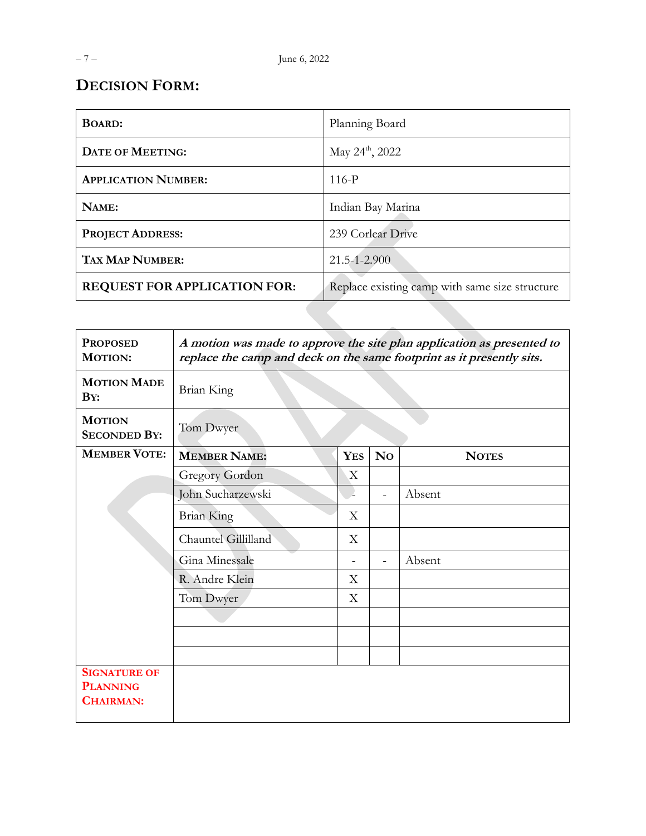| <b>BOARD:</b>                | Planning Board                                 |
|------------------------------|------------------------------------------------|
| <b>DATE OF MEETING:</b>      | May $24^{\text{th}}$ , 2022                    |
| <b>APPLICATION NUMBER:</b>   | $116-P$                                        |
| NAME:                        | Indian Bay Marina                              |
| <b>PROJECT ADDRESS:</b>      | 239 Corlear Drive                              |
| <b>TAX MAP NUMBER:</b>       | 21.5-1-2.900                                   |
| REQUEST FOR APPLICATION FOR: | Replace existing camp with same size structure |
|                              |                                                |

| <b>PROPOSED</b><br><b>MOTION:</b>                          | A motion was made to approve the site plan application as presented to<br>replace the camp and deck on the same footprint as it presently sits. |            |                          |              |  |
|------------------------------------------------------------|-------------------------------------------------------------------------------------------------------------------------------------------------|------------|--------------------------|--------------|--|
| <b>MOTION MADE</b><br>BY:                                  | Brian King                                                                                                                                      |            |                          |              |  |
| <b>MOTION</b><br><b>SECONDED BY:</b>                       | Tom Dwyer                                                                                                                                       |            |                          |              |  |
| <b>MEMBER VOTE:</b>                                        | <b>MEMBER NAME:</b>                                                                                                                             | <b>YES</b> | N <sub>0</sub>           | <b>NOTES</b> |  |
|                                                            | <b>Gregory Gordon</b>                                                                                                                           | X          |                          |              |  |
|                                                            | John Sucharzewski                                                                                                                               |            | $\overline{\phantom{0}}$ | Absent       |  |
|                                                            | <b>Brian King</b>                                                                                                                               | X          |                          |              |  |
|                                                            | Chauntel Gillilland                                                                                                                             | X          |                          |              |  |
|                                                            | Gina Minessale                                                                                                                                  |            | $\equiv$                 | Absent       |  |
|                                                            | R. Andre Klein                                                                                                                                  | Χ          |                          |              |  |
|                                                            | Tom Dwyer                                                                                                                                       | Χ          |                          |              |  |
|                                                            |                                                                                                                                                 |            |                          |              |  |
|                                                            |                                                                                                                                                 |            |                          |              |  |
|                                                            |                                                                                                                                                 |            |                          |              |  |
| <b>SIGNATURE OF</b><br><b>PLANNING</b><br><b>CHAIRMAN:</b> |                                                                                                                                                 |            |                          |              |  |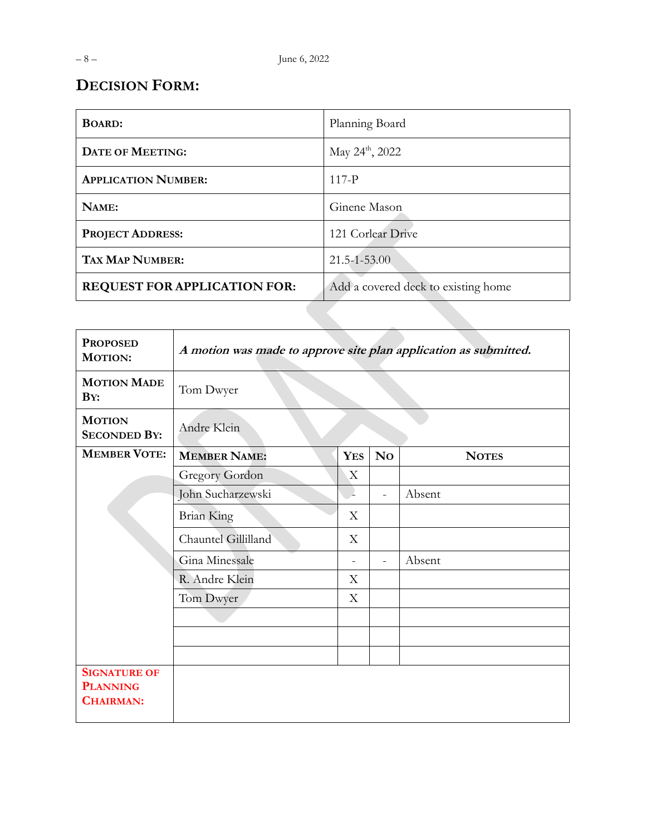| <b>BOARD:</b>                       | Planning Board                      |
|-------------------------------------|-------------------------------------|
| <b>DATE OF MEETING:</b>             | May 24 <sup>th</sup> , 2022         |
| <b>APPLICATION NUMBER:</b>          | $117-P$                             |
| NAME:                               | Ginene Mason                        |
| <b>PROJECT ADDRESS:</b>             | 121 Corlear Drive                   |
| <b>TAX MAP NUMBER:</b>              | $21.5 - 1 - 53.00$                  |
| <b>REQUEST FOR APPLICATION FOR:</b> | Add a covered deck to existing home |
|                                     |                                     |
|                                     |                                     |

| <b>PROPOSED</b><br><b>MOTION:</b>                          | A motion was made to approve site plan application as submitted. |                |                |              |
|------------------------------------------------------------|------------------------------------------------------------------|----------------|----------------|--------------|
| <b>MOTION MADE</b><br>BY:                                  | Tom Dwyer                                                        |                |                |              |
| <b>MOTION</b><br><b>SECONDED BY:</b>                       | Andre Klein                                                      |                |                |              |
| <b>MEMBER VOTE:</b>                                        | <b>MEMBER NAME:</b>                                              | <b>YES</b>     | N <sub>0</sub> | <b>NOTES</b> |
|                                                            | <b>Gregory Gordon</b>                                            | X              |                |              |
|                                                            | John Sucharzewski                                                |                | $\equiv$       | Absent       |
|                                                            | <b>Brian King</b>                                                | X              |                |              |
|                                                            | Chauntel Gillilland                                              | X              |                |              |
|                                                            | Gina Minessale                                                   | $\blacksquare$ | $\equiv$       | Absent       |
|                                                            | R. Andre Klein                                                   | X              |                |              |
|                                                            | Tom Dwyer                                                        | X              |                |              |
|                                                            |                                                                  |                |                |              |
|                                                            |                                                                  |                |                |              |
|                                                            |                                                                  |                |                |              |
| <b>SIGNATURE OF</b><br><b>PLANNING</b><br><b>CHAIRMAN:</b> |                                                                  |                |                |              |